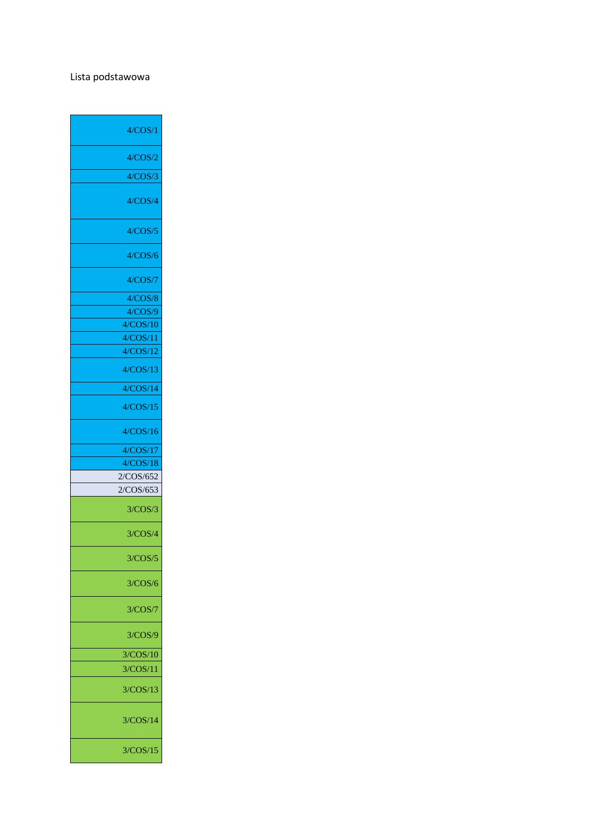## Lista podstawowa

| 4/COS/1   |
|-----------|
| 4/COS/2   |
| 4/COS/3   |
| 4/COS/4   |
| 4/COS/5   |
| 4/COS/6   |
| 4/COS/7   |
| 4/COS/8   |
| 4/COS/9   |
| 4/COS/10  |
| 4/COS/11  |
| 4/COS/12  |
| 4/COS/13  |
| 4/COS/14  |
| 4/COS/15  |
| 4/COS/16  |
|           |
| 4/COS/17  |
| 4/COS/18  |
| 2/COS/652 |
| 2/COS/653 |
| 3/COS/3   |
| 3/COS/4   |
| 3/COS/5   |
| 3/COS/6   |
| 3/COS/7   |
| 3/COS/9   |
| 3/COS/10  |
| 3/COS/11  |
| 3/COS/13  |
| 3/COS/14  |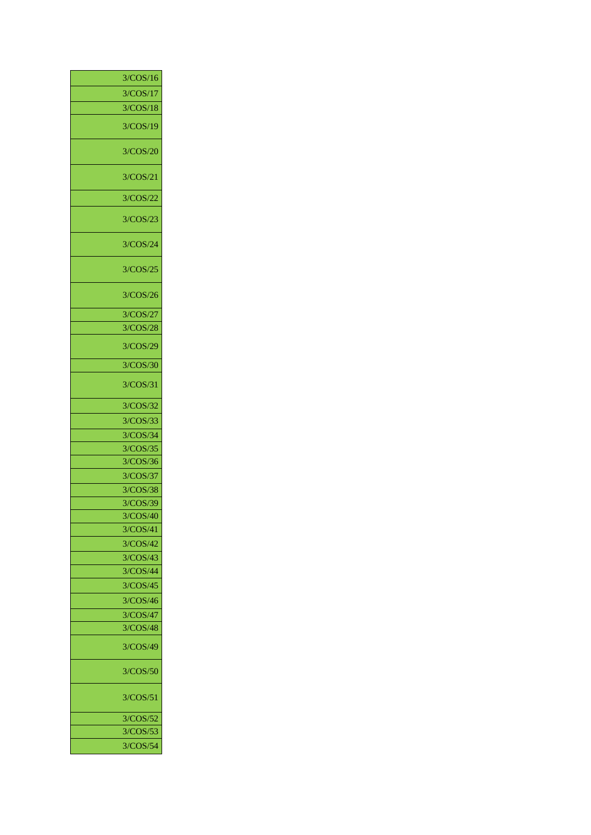| 3/COS/16 |
|----------|
| 3/COS/17 |
| 3/COS/18 |
| 3/COS/19 |
| 3/COS/20 |
| 3/COS/21 |
| 3/COS/22 |
| 3/COS/23 |
| 3/COS/24 |
| 3/COS/25 |
| 3/COS/26 |
| 3/COS/27 |
| 3/COS/28 |
| 3/COS/29 |
| 3/COS/30 |
| 3/COS/31 |
| 3/COS/32 |
| 3/COS/33 |
| 3/COS/34 |
| 3/COS/35 |
| 3/COS/36 |
| 3/COS/37 |
| 3/COS/38 |
| 3/COS/39 |
| 3/COS/40 |
| 3/COS/41 |
| 3/COS/42 |
| 3/COS/43 |
| 3/COS/44 |
| 3/COS/45 |
| 3/COS/46 |
| 3/COS/47 |
| 3/COS/48 |
| 3/COS/49 |
| 3/COS/50 |
| 3/COS/51 |
| 3/COS/52 |
| 3/COS/53 |
| 3/COS/54 |
|          |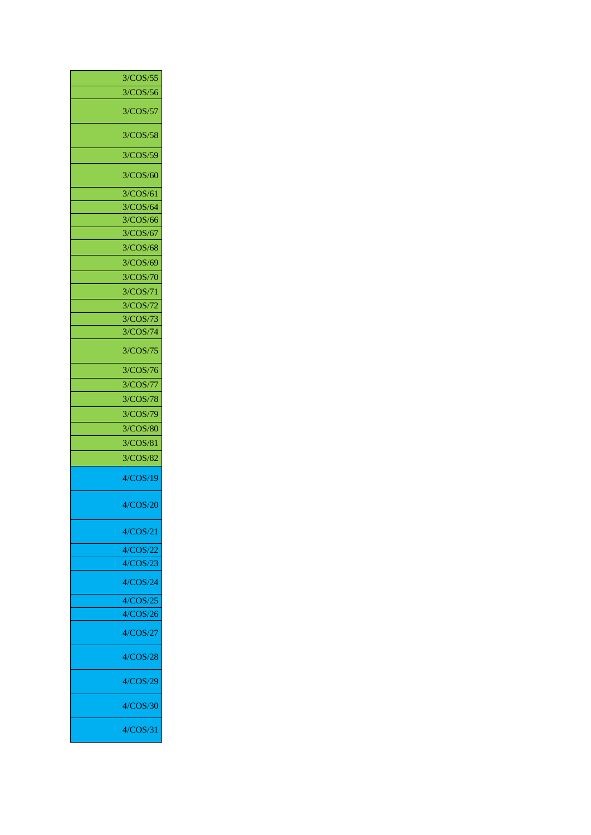| 3/COS/55 |
|----------|
| 3/COS/56 |
| 3/COS/57 |
| 3/COS/58 |
| 3/COS/59 |
| 3/COS/60 |
| 3/COS/61 |
| 3/COS/64 |
| 3/COS/66 |
| 3/COS/67 |
| 3/COS/68 |
| 3/COS/69 |
| 3/COS/70 |
| 3/COS/71 |
| 3/COS/72 |
| 3/COS/73 |
| 3/COS/74 |
| 3/COS/75 |
| 3/COS/76 |
| 3/COS/77 |
| 3/COS/78 |
| 3/COS/79 |
| 3/COS/80 |
| 3/COS/81 |
| 3/COS/82 |
| 4/COS/19 |
| 4/COS/20 |
| 4/COS/21 |
| 4/COS/22 |
| 4/COS/23 |
| 4/COS/24 |
| 4/COS/25 |
| 4/COS/26 |
| 4/COS/27 |
| 4/COS/28 |
| 4/COS/29 |
| 4/COS/30 |
| 4/COS/31 |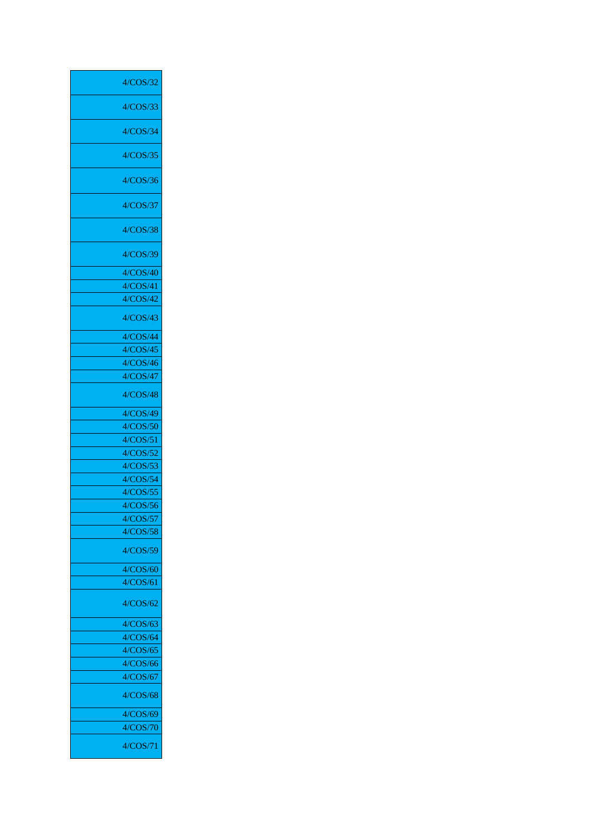| 4/COS/32 |
|----------|
| 4/COS/33 |
| 4/COS/34 |
| 4/COS/35 |
| 4/COS/36 |
|          |
| 4/COS/37 |
| 4/COS/38 |
| 4/COS/39 |
| 4/COS/40 |
| 4/COS/41 |
| 4/COS/42 |
| 4/COS/43 |
| 4/COS/44 |
| 4/COS/45 |
| 4/COS/46 |
| 4/COS/47 |
| 4/COS/48 |
| 4/COS/49 |
| 4/COS/50 |
| 4/COS/51 |
| 4/COS/52 |
| 4/COS/53 |
| 4/COS/54 |
| 4/COS/55 |
| 4/COS/56 |
| 4/COS/57 |
| 4/COS/58 |
| 4/COS/59 |
|          |
| 4/COS/60 |
| 4/COS/61 |
| 4/COS/62 |
| 4/COS/63 |
| 4/COS/64 |
| 4/COS/65 |
| 4/COS/66 |
| 4/COS/67 |
| 4/COS/68 |
| 4/COS/69 |
| 4/COS/70 |
|          |
| 4/COS/71 |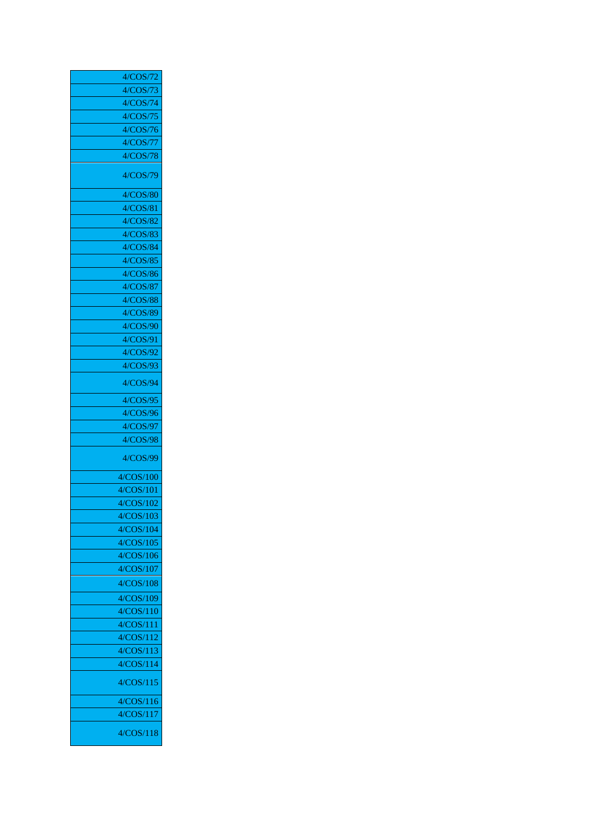| 4/COS/72  |
|-----------|
| 4/COS/73  |
| 4/COS/74  |
| 4/COS/75  |
| 4/COS/76  |
| 4/COS/77  |
| 4/COS/78  |
| 4/COS/79  |
| 4/COS/80  |
| 4/COS/81  |
| 4/COS/82  |
| 4/COS/83  |
| 4/COS/84  |
| 4/COS/85  |
| 4/COS/86  |
| 4/COS/87  |
| 4/COS/88  |
| 4/COS/89  |
| 4/COS/90  |
| 4/COS/91  |
| 4/COS/92  |
| 4/COS/93  |
| 4/COS/94  |
| 4/COS/95  |
| 4/COS/96  |
| 4/COS/97  |
| 4/COS/98  |
| 4/COS/99  |
| 4/COS/100 |
| 4/COS/101 |
| 4/COS/102 |
| 4/COS/103 |
| 4/COS/104 |
| 4/COS/105 |
| 4/COS/106 |
| 4/COS/107 |
| 4/COS/108 |
| 4/COS/109 |
| 4/COS/110 |
| 4/COS/111 |
| 4/COS/112 |
| 4/COS/113 |
| 4/COS/114 |
| 4/COS/115 |
| 4/COS/116 |
| 4/COS/117 |
| 4/COS/118 |
|           |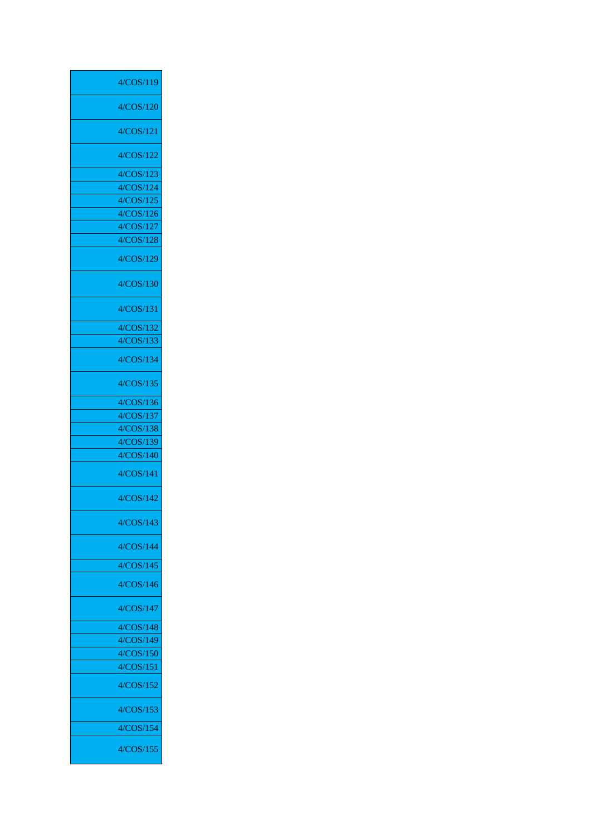| 4/COS/119 |
|-----------|
| 4/COS/120 |
| 4/COS/121 |
| 4/COS/122 |
| 4/COS/123 |
| 4/COS/124 |
| 4/COS/125 |
| 4/COS/126 |
| 4/COS/127 |
| 4/COS/128 |
| 4/COS/129 |
| 4/COS/130 |
| 4/COS/131 |
| 4/COS/132 |
| 4/COS/133 |
| 4/COS/134 |
| 4/COS/135 |
| 4/COS/136 |
| 4/COS/137 |
| 4/COS/138 |
| 4/COS/139 |
| 4/COS/140 |
| 4/COS/141 |
| 4/COS/142 |
| 4/COS/143 |
| 4/COS/144 |
| 4/COS/145 |
| 4/COS/146 |
| 4/COS/147 |
| 4/COS/148 |
| 4/COS/149 |
| 4/COS/150 |
| 4/COS/151 |
| 4/COS/152 |
| 4/COS/153 |
| 4/COS/154 |
| 4/COS/155 |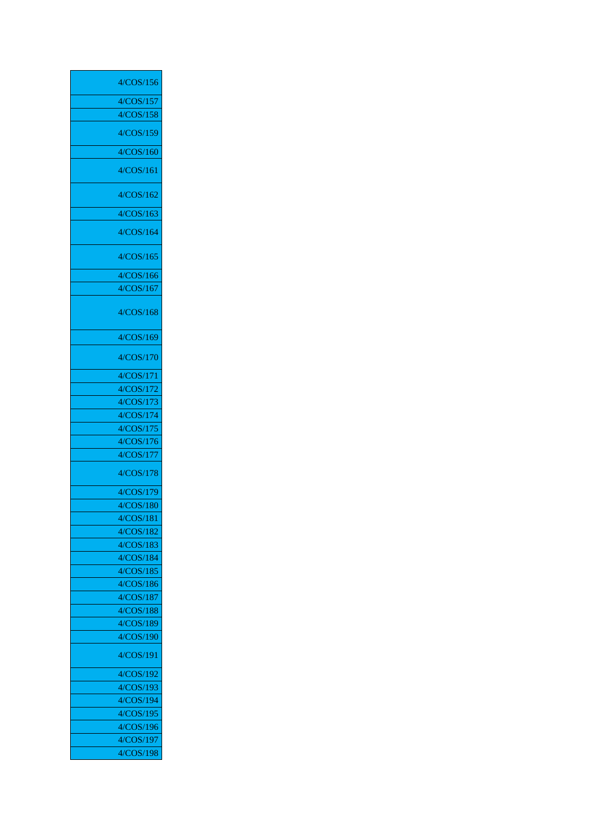| 4/COS/156              |
|------------------------|
| 4/COS/157              |
| 4/COS/158              |
|                        |
| 4/COS/159              |
| 4/COS/160              |
| 4/COS/161              |
| 4/COS/162              |
| 4/COS/163              |
| 4/COS/164              |
| 4/COS/165              |
| 4/COS/166              |
| 4/COS/167              |
|                        |
| 4/COS/168              |
| 4/COS/169              |
| 4/COS/170              |
| 4/COS/171              |
| 4/COS/172              |
| 4/COS/173              |
| 4/COS/174              |
| 4/COS/175              |
| 4/COS/176              |
| 4/COS/177              |
| 4/COS/178              |
| 4/COS/179              |
| 4/COS/180              |
| 4/COS/181              |
| 4/COS/182              |
| 4/COS/183              |
| 4/COS/184              |
| 4/COS/185              |
| 4/COS/186              |
| 4/COS/187              |
| 4/COS/188              |
| 4/COS/189              |
| 4/COS/190              |
| 4/COS/191              |
| 4/COS/192              |
| 4/COS/193              |
| 4/COS/194              |
| 4/COS/195              |
| 4/COS/196<br>4/COS/197 |
| 4/COS/198              |
|                        |